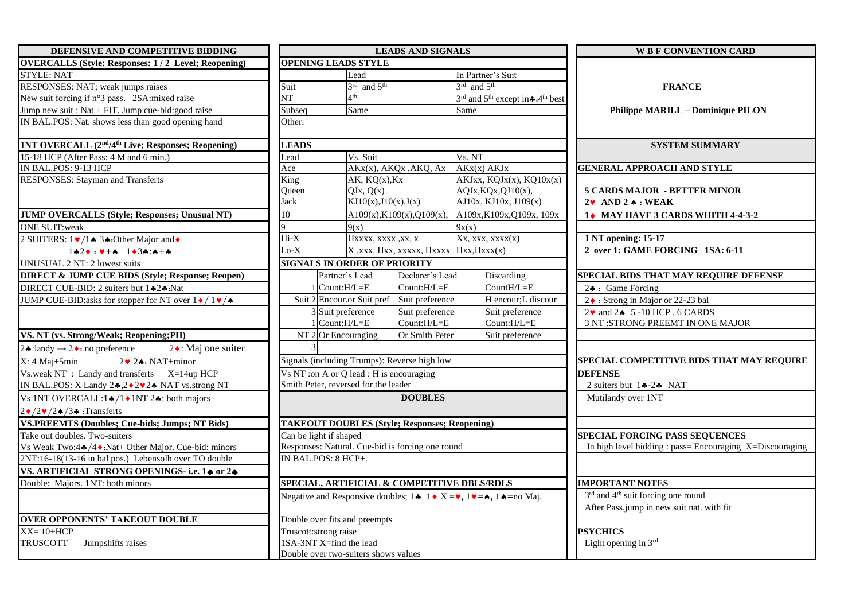| DEFENSIVE AND COMPETITIVE BIDDING                                               |                                                                                                                      | <b>LEADS AND SIGNALS</b>                     |                                            |                                                                     |                                  | <b>WB F CONVENTION CARD</b>                                |  |
|---------------------------------------------------------------------------------|----------------------------------------------------------------------------------------------------------------------|----------------------------------------------|--------------------------------------------|---------------------------------------------------------------------|----------------------------------|------------------------------------------------------------|--|
| <b>OVERCALLS (Style: Responses: 1/2 Level; Reopening)</b>                       | <b>OPENING LEADS STYLE</b>                                                                                           |                                              |                                            |                                                                     |                                  |                                                            |  |
| <b>STYLE: NAT</b>                                                               |                                                                                                                      | Lead                                         | In Partner's Suit                          |                                                                     |                                  |                                                            |  |
| RESPONSES: NAT; weak jumps raises                                               | Suit                                                                                                                 | 3rd and 5 <sup>th</sup>                      |                                            | $3rd$ and $5th$                                                     |                                  | <b>FRANCE</b>                                              |  |
| New suit forcing if n°3 pass. 2SA: mixed raise                                  | $\overline{\text{NT}}$                                                                                               | 4 <sup>th</sup>                              |                                            | 3rd and 5 <sup>th</sup> except in $\clubsuit$ :4 <sup>th</sup> best |                                  |                                                            |  |
| Jump new suit : Nat + FIT. Jump cue-bid: good raise                             | Subseq                                                                                                               | Same                                         |                                            | Same                                                                |                                  | <b>Philippe MARILL - Dominique PILON</b>                   |  |
| IN BAL.POS: Nat. shows less than good opening hand                              | Other:                                                                                                               |                                              |                                            |                                                                     |                                  |                                                            |  |
|                                                                                 |                                                                                                                      |                                              |                                            |                                                                     |                                  |                                                            |  |
| 1NT OVERCALL (2 <sup>nd</sup> /4 <sup>th</sup> Live; Responses; Reopening)      | <b>LEADS</b>                                                                                                         |                                              |                                            |                                                                     |                                  | <b>SYSTEM SUMMARY</b>                                      |  |
| 15-18 HCP (After Pass: 4 M and 6 min.)                                          | Lead                                                                                                                 | Vs. Suit                                     |                                            | Vs. NT                                                              |                                  |                                                            |  |
| IN BAL.POS: 9-13 HCP                                                            | Ace                                                                                                                  | $AKx(x)$ , $AKQx$ , $AKQ$ , $Ax$             |                                            | AKx(x) AKJx                                                         |                                  | <b>GENERAL APPROACH AND STYLE</b>                          |  |
| <b>RESPONSES: Stayman and Transferts</b>                                        | King                                                                                                                 |                                              | AKJxx, KQJx(x), KQ10x(x)<br>AK, KQ(x), Kx  |                                                                     |                                  |                                                            |  |
|                                                                                 | <b>Queen</b>                                                                                                         | QJx, Q(x)                                    |                                            | $\overline{AQJx,KQx,QJ10(x)},$                                      |                                  | <b>5 CARDS MAJOR - BETTER MINOR</b>                        |  |
|                                                                                 | Jack                                                                                                                 | KJ10(x), J10(x), J(x)                        |                                            | AJ10x, KJ10x, J109(x)                                               |                                  | $2 \cdot \text{AND } 2 \cdot \text{WEAK}$                  |  |
| <b>JUMP OVERCALLS (Style; Responses; Unusual NT)</b>                            | 10                                                                                                                   |                                              | A109(x), K109(x), Q109(x),                 | A109x, K109x, Q109x, 109x                                           |                                  | 1 MAY HAVE 3 CARDS WHITH 4-4-3-2                           |  |
| <b>ONE SUIT:weak</b>                                                            | $\mathbf{Q}$                                                                                                         | 9(x)                                         |                                            | 9x(x)                                                               |                                  |                                                            |  |
| 2 SUITERS: 1 v/1 A 3 *: Other Major and +                                       | $\overline{Hi-X}$                                                                                                    | Hxxxx, xxxx , xx, x                          |                                            | $Xx,$ xxx, xxxx(x)                                                  |                                  | 1 NT opening: 15-17                                        |  |
| $142 \cdot 144$ $14341 + 4$                                                     | $\overline{\text{Lo-}X}$                                                                                             | X, xxx, Hxx, xxxxx, Hxxxx Hxx, Hxxx(x)       |                                            |                                                                     | 2 over 1: GAME FORCING 1SA: 6-11 |                                                            |  |
| UNUSUAL 2 NT: 2 lowest suits                                                    | <b>SIGNALS IN ORDER OF PRIORITY</b>                                                                                  |                                              |                                            |                                                                     |                                  |                                                            |  |
| <b>DIRECT &amp; JUMP CUE BIDS (Style; Response; Reopen)</b>                     |                                                                                                                      | Partner's Lead                               | Declarer's Lead                            | Discarding                                                          |                                  | SPECIAL BIDS THAT MAY REQUIRE DEFENSE                      |  |
| DIRECT CUE-BID: 2 suiters but 1424:Nat                                          |                                                                                                                      | Count:H/L=E                                  | Count:H/L=E                                | $CountH/L=E$                                                        |                                  | 24 : Game Forcing                                          |  |
| JUMP CUE-BID:asks for stopper for NT over $1 \cdot / 1 \cdot / \cdot$           |                                                                                                                      |                                              | Suit 2 Encour.or Suit pref Suit preference | H encour;L discour                                                  |                                  | 2♦ : Strong in Major or 22-23 bal                          |  |
|                                                                                 |                                                                                                                      | 3 Suit preference                            | Suit preference                            | Suit preference                                                     |                                  | 2v and 2 <sup>*</sup> 5 -10 HCP, 6 CARDS                   |  |
|                                                                                 |                                                                                                                      | 1 Count:H/L=E                                | Count:H/L=E                                | Count:H/L=E                                                         |                                  | <b>3 NT:STRONG PREEMT IN ONE MAJOR</b>                     |  |
| VS. NT (vs. Strong/Weak; Reopening;PH)                                          | $NT$ 2 Or Encouraging                                                                                                |                                              | Or Smith Peter                             | Suit preference                                                     |                                  |                                                            |  |
| 2.4 : landy → 2.4 : no preference<br>$2 \cdot$ : Maj one suiter                 |                                                                                                                      |                                              |                                            |                                                                     |                                  |                                                            |  |
| $X: 4$ Maj+5min<br>$2 \cdot 2 \cdot \text{NAT} + \text{minor}$                  |                                                                                                                      | Signals (including Trumps): Reverse high low |                                            |                                                                     |                                  | SPECIAL COMPETITIVE BIDS THAT MAY REQUIRE                  |  |
| Vs.weak NT: Landy and transferts X=14up HCP                                     |                                                                                                                      | Vs NT: on A or Q lead: H is encouraging      |                                            |                                                                     |                                  | <b>DEFENSE</b>                                             |  |
| IN BAL.POS: X Landy 24,2♦2♥24 NAT vs.strong NT                                  | Smith Peter, reversed for the leader                                                                                 |                                              |                                            |                                                                     |                                  | 2 suiters but $1 - 2$ MAT                                  |  |
| Vs 1NT OVERCALL:1 $\frac{4}{1}$ (1 $\frac{1}{1}$ T2 $\frac{4}{1}$ : both majors | <b>DOUBLES</b>                                                                                                       |                                              |                                            |                                                                     |                                  | Mutilandy over 1NT                                         |  |
| $2\cdot/2\cdot/2\cdot/3$ : Transferts                                           |                                                                                                                      |                                              |                                            |                                                                     |                                  |                                                            |  |
| <b>VS.PREEMTS (Doubles; Cue-bids; Jumps; NT Bids)</b>                           |                                                                                                                      |                                              |                                            |                                                                     |                                  |                                                            |  |
| Take out doubles. Two-suiters                                                   | <b>TAKEOUT DOUBLES (Style; Responses; Reopening)</b><br>Can be light if shaped                                       |                                              |                                            |                                                                     |                                  | SPECIAL FORCING PASS SEQUENCES                             |  |
| Vs Weak Two:4↑/4♦:Nat+ Other Major. Cue-bid: minors                             | Responses: Natural. Cue-bid is forcing one round                                                                     |                                              |                                            |                                                                     |                                  | In high level bidding : pass= Encouraging X=Discouraging   |  |
| 2NT:16-18(13-16 in bal.pos.) Lebensolh over TO double                           | IN BAL.POS: 8 HCP+.                                                                                                  |                                              |                                            |                                                                     |                                  |                                                            |  |
| VS. ARTIFICIAL STRONG OPENINGS- i.e. 14 or 24                                   |                                                                                                                      |                                              |                                            |                                                                     |                                  |                                                            |  |
| Double: Majors. 1NT: both minors                                                | SPECIAL, ARTIFICIAL & COMPETITIVE DBLS/RDLS                                                                          |                                              |                                            |                                                                     |                                  | <b>IMPORTANT NOTES</b>                                     |  |
|                                                                                 | Negative and Responsive doubles; $1 \cdot 1 \cdot 1 \cdot 1 = 1$ , $1 \cdot 1 \cdot 1 = 1$ , $1 \cdot 1 \cdot 1 = 1$ |                                              |                                            |                                                                     |                                  | 3 <sup>rd</sup> and 4 <sup>th</sup> suit forcing one round |  |
|                                                                                 |                                                                                                                      |                                              |                                            |                                                                     |                                  | After Pass, jump in new suit nat. with fit                 |  |
| <b>OVER OPPONENTS' TAKEOUT DOUBLE</b>                                           | Double over fits and preempts                                                                                        |                                              |                                            |                                                                     |                                  |                                                            |  |
| $XX = 10+HCP$                                                                   | Truscott:strong raise                                                                                                |                                              |                                            |                                                                     |                                  | <b>PSYCHICS</b>                                            |  |
| <b>TRUSCOTT</b><br>Jumpshifts raises                                            | 1SA-3NT X=find the lead                                                                                              |                                              |                                            |                                                                     |                                  | Light opening in 3rd                                       |  |
|                                                                                 | Double over two-suiters shows values                                                                                 |                                              |                                            |                                                                     |                                  |                                                            |  |